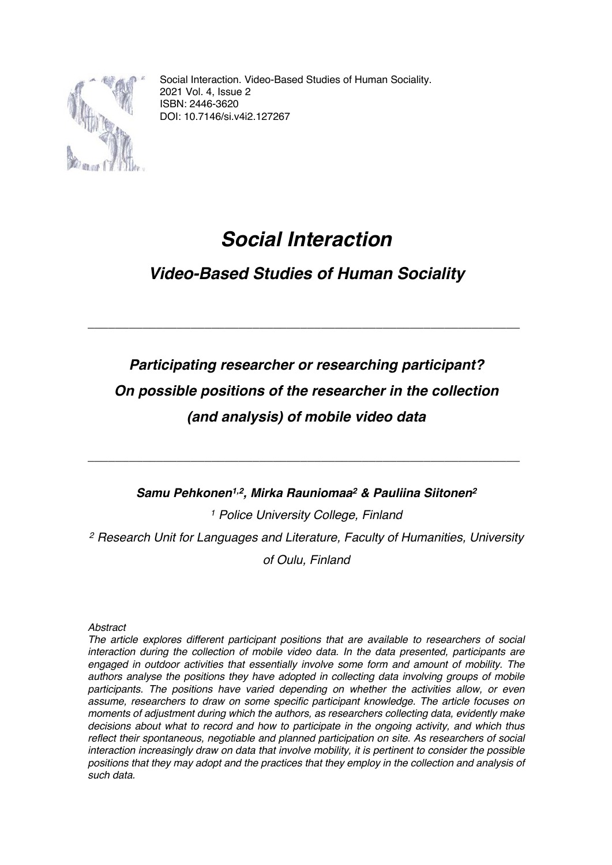

Social Interaction. Video-Based Studies of Human Sociality. 2021 Vol. 4, Issue 2 ISBN: 2446-3620 DOI: 10.7146/si.v4i2.127267

## *Social Interaction*

## *Video-Based Studies of Human Sociality*

\_\_\_\_\_\_\_\_\_\_\_\_\_\_\_\_\_\_\_\_\_\_\_\_\_\_\_\_\_\_\_\_\_\_\_\_\_\_\_\_\_\_\_\_\_\_\_\_\_\_\_\_\_\_\_\_\_\_\_\_\_\_\_

## *Participating researcher or researching participant? On possible positions of the researcher in the collection (and analysis) of mobile video data*

### *Samu Pehkonen1,2, Mirka Rauniomaa2 & Pauliina Siitonen2*

\_\_\_\_\_\_\_\_\_\_\_\_\_\_\_\_\_\_\_\_\_\_\_\_\_\_\_\_\_\_\_\_\_\_\_\_\_\_\_\_\_\_\_\_\_\_\_\_\_\_\_\_\_\_\_\_\_\_\_\_\_\_\_

*<sup>1</sup> Police University College, Finland <sup>2</sup> Research Unit for Languages and Literature, Faculty of Humanities, University of Oulu, Finland*

*Abstract*

*The article explores different participant positions that are available to researchers of social interaction during the collection of mobile video data. In the data presented, participants are engaged in outdoor activities that essentially involve some form and amount of mobility. The authors analyse the positions they have adopted in collecting data involving groups of mobile participants. The positions have varied depending on whether the activities allow, or even assume, researchers to draw on some specific participant knowledge. The article focuses on moments of adjustment during which the authors, as researchers collecting data, evidently make decisions about what to record and how to participate in the ongoing activity, and which thus reflect their spontaneous, negotiable and planned participation on site. As researchers of social interaction increasingly draw on data that involve mobility, it is pertinent to consider the possible positions that they may adopt and the practices that they employ in the collection and analysis of such data.*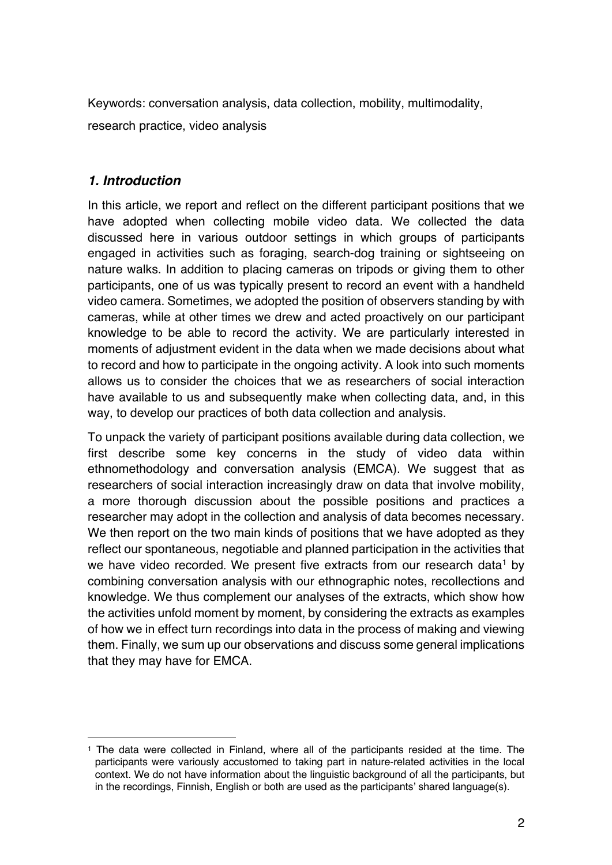Keywords: conversation analysis, data collection, mobility, multimodality, research practice, video analysis

### *1. Introduction*

In this article, we report and reflect on the different participant positions that we have adopted when collecting mobile video data. We collected the data discussed here in various outdoor settings in which groups of participants engaged in activities such as foraging, search-dog training or sightseeing on nature walks. In addition to placing cameras on tripods or giving them to other participants, one of us was typically present to record an event with a handheld video camera. Sometimes, we adopted the position of observers standing by with cameras, while at other times we drew and acted proactively on our participant knowledge to be able to record the activity. We are particularly interested in moments of adjustment evident in the data when we made decisions about what to record and how to participate in the ongoing activity. A look into such moments allows us to consider the choices that we as researchers of social interaction have available to us and subsequently make when collecting data, and, in this way, to develop our practices of both data collection and analysis.

To unpack the variety of participant positions available during data collection, we first describe some key concerns in the study of video data within ethnomethodology and conversation analysis (EMCA). We suggest that as researchers of social interaction increasingly draw on data that involve mobility, a more thorough discussion about the possible positions and practices a researcher may adopt in the collection and analysis of data becomes necessary. We then report on the two main kinds of positions that we have adopted as they reflect our spontaneous, negotiable and planned participation in the activities that we have video recorded. We present five extracts from our research data<sup>1</sup> by combining conversation analysis with our ethnographic notes, recollections and knowledge. We thus complement our analyses of the extracts, which show how the activities unfold moment by moment, by considering the extracts as examples of how we in effect turn recordings into data in the process of making and viewing them. Finally, we sum up our observations and discuss some general implications that they may have for EMCA.

<sup>1</sup> The data were collected in Finland, where all of the participants resided at the time. The participants were variously accustomed to taking part in nature-related activities in the local context. We do not have information about the linguistic background of all the participants, but in the recordings, Finnish, English or both are used as the participants' shared language(s).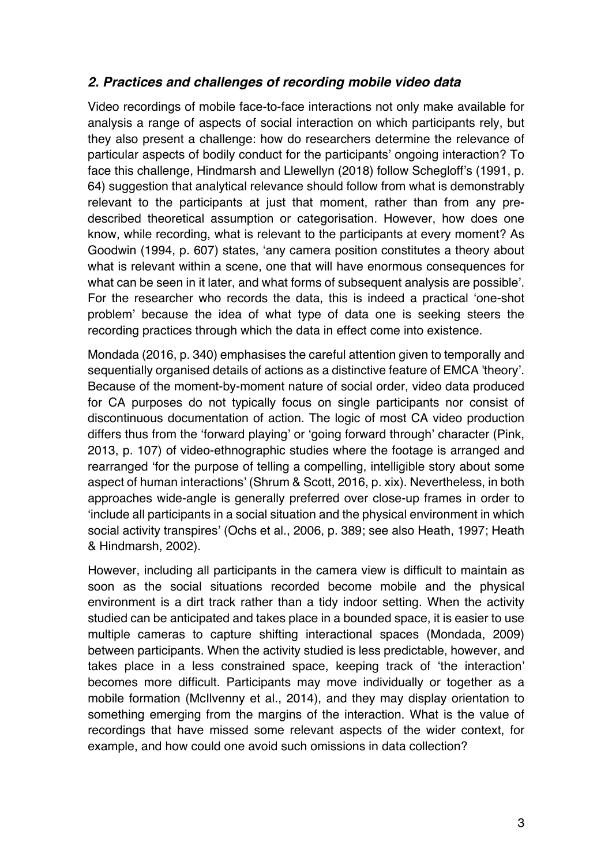### *2. Practices and challenges of recording mobile video data*

Video recordings of mobile face-to-face interactions not only make available for analysis a range of aspects of social interaction on which participants rely, but they also present a challenge: how do researchers determine the relevance of particular aspects of bodily conduct for the participants' ongoing interaction? To face this challenge, Hindmarsh and Llewellyn (2018) follow Schegloff's (1991, p. 64) suggestion that analytical relevance should follow from what is demonstrably relevant to the participants at just that moment, rather than from any predescribed theoretical assumption or categorisation. However, how does one know, while recording, what is relevant to the participants at every moment? As Goodwin (1994, p. 607) states, 'any camera position constitutes a theory about what is relevant within a scene, one that will have enormous consequences for what can be seen in it later, and what forms of subsequent analysis are possible'. For the researcher who records the data, this is indeed a practical 'one-shot problem' because the idea of what type of data one is seeking steers the recording practices through which the data in effect come into existence.

Mondada (2016, p. 340) emphasises the careful attention given to temporally and sequentially organised details of actions as a distinctive feature of EMCA 'theory'. Because of the moment-by-moment nature of social order, video data produced for CA purposes do not typically focus on single participants nor consist of discontinuous documentation of action. The logic of most CA video production differs thus from the 'forward playing' or 'going forward through' character (Pink, 2013, p. 107) of video-ethnographic studies where the footage is arranged and rearranged 'for the purpose of telling a compelling, intelligible story about some aspect of human interactions' (Shrum & Scott, 2016, p. xix). Nevertheless, in both approaches wide-angle is generally preferred over close-up frames in order to 'include all participants in a social situation and the physical environment in which social activity transpires' (Ochs et al., 2006, p. 389; see also Heath, 1997; Heath & Hindmarsh, 2002).

However, including all participants in the camera view is difficult to maintain as soon as the social situations recorded become mobile and the physical environment is a dirt track rather than a tidy indoor setting. When the activity studied can be anticipated and takes place in a bounded space, it is easier to use multiple cameras to capture shifting interactional spaces (Mondada, 2009) between participants. When the activity studied is less predictable, however, and takes place in a less constrained space, keeping track of 'the interaction' becomes more difficult. Participants may move individually or together as a mobile formation (McIlvenny et al., 2014), and they may display orientation to something emerging from the margins of the interaction. What is the value of recordings that have missed some relevant aspects of the wider context, for example, and how could one avoid such omissions in data collection?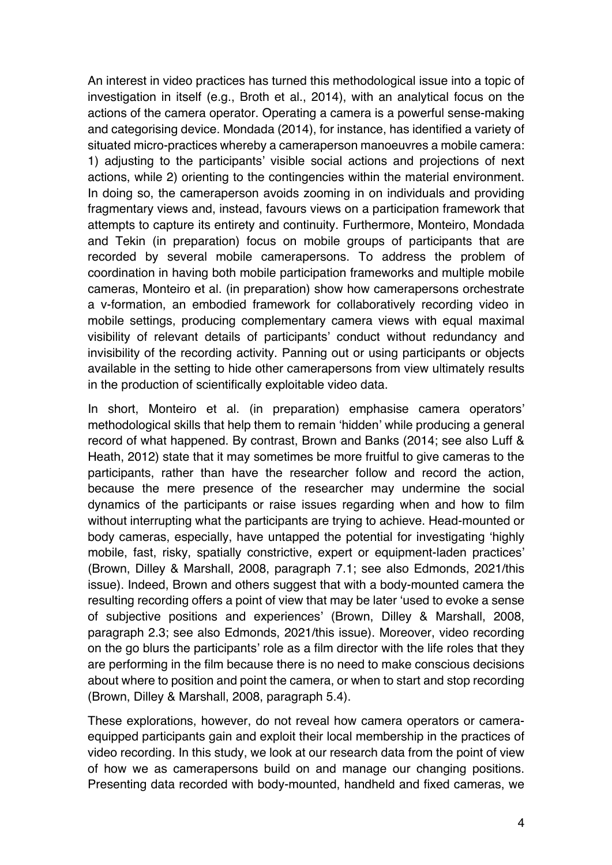An interest in video practices has turned this methodological issue into a topic of investigation in itself (e.g., Broth et al., 2014), with an analytical focus on the actions of the camera operator. Operating a camera is a powerful sense-making and categorising device. Mondada (2014), for instance, has identified a variety of situated micro-practices whereby a cameraperson manoeuvres a mobile camera: 1) adjusting to the participants' visible social actions and projections of next actions, while 2) orienting to the contingencies within the material environment. In doing so, the cameraperson avoids zooming in on individuals and providing fragmentary views and, instead, favours views on a participation framework that attempts to capture its entirety and continuity. Furthermore, Monteiro, Mondada and Tekin (in preparation) focus on mobile groups of participants that are recorded by several mobile camerapersons. To address the problem of coordination in having both mobile participation frameworks and multiple mobile cameras, Monteiro et al. (in preparation) show how camerapersons orchestrate a v-formation, an embodied framework for collaboratively recording video in mobile settings, producing complementary camera views with equal maximal visibility of relevant details of participants' conduct without redundancy and invisibility of the recording activity. Panning out or using participants or objects available in the setting to hide other camerapersons from view ultimately results in the production of scientifically exploitable video data.

In short, Monteiro et al. (in preparation) emphasise camera operators' methodological skills that help them to remain 'hidden' while producing a general record of what happened. By contrast, Brown and Banks (2014; see also Luff & Heath, 2012) state that it may sometimes be more fruitful to give cameras to the participants, rather than have the researcher follow and record the action, because the mere presence of the researcher may undermine the social dynamics of the participants or raise issues regarding when and how to film without interrupting what the participants are trying to achieve. Head-mounted or body cameras, especially, have untapped the potential for investigating 'highly mobile, fast, risky, spatially constrictive, expert or equipment-laden practices' (Brown, Dilley & Marshall, 2008, paragraph 7.1; see also Edmonds, 2021/this issue). Indeed, Brown and others suggest that with a body-mounted camera the resulting recording offers a point of view that may be later 'used to evoke a sense of subjective positions and experiences' (Brown, Dilley & Marshall, 2008, paragraph 2.3; see also Edmonds, 2021/this issue). Moreover, video recording on the go blurs the participants' role as a film director with the life roles that they are performing in the film because there is no need to make conscious decisions about where to position and point the camera, or when to start and stop recording (Brown, Dilley & Marshall, 2008, paragraph 5.4).

These explorations, however, do not reveal how camera operators or cameraequipped participants gain and exploit their local membership in the practices of video recording. In this study, we look at our research data from the point of view of how we as camerapersons build on and manage our changing positions. Presenting data recorded with body-mounted, handheld and fixed cameras, we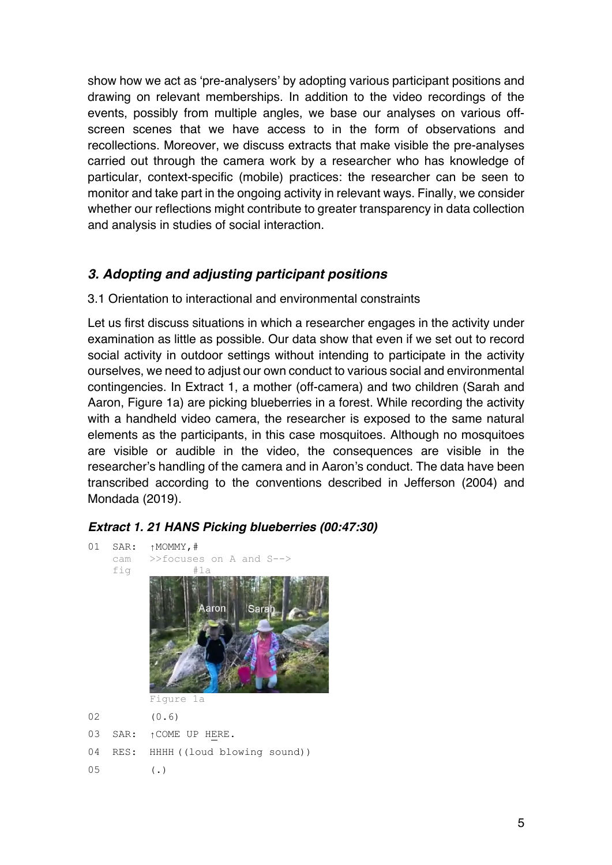show how we act as 'pre-analysers' by adopting various participant positions and drawing on relevant memberships. In addition to the video recordings of the events, possibly from multiple angles, we base our analyses on various offscreen scenes that we have access to in the form of observations and recollections. Moreover, we discuss extracts that make visible the pre-analyses carried out through the camera work by a researcher who has knowledge of particular, context-specific (mobile) practices: the researcher can be seen to monitor and take part in the ongoing activity in relevant ways. Finally, we consider whether our reflections might contribute to greater transparency in data collection and analysis in studies of social interaction.

### *3. Adopting and adjusting participant positions*

### 3.1 Orientation to interactional and environmental constraints

Let us first discuss situations in which a researcher engages in the activity under examination as little as possible. Our data show that even if we set out to record social activity in outdoor settings without intending to participate in the activity ourselves, we need to adjust our own conduct to various social and environmental contingencies. In Extract 1, a mother (off-camera) and two children (Sarah and Aaron, Figure 1a) are picking blueberries in a forest. While recording the activity with a handheld video camera, the researcher is exposed to the same natural elements as the participants, in this case mosquitoes. Although no mosquitoes are visible or audible in the video, the consequences are visible in the researcher's handling of the camera and in Aaron's conduct. The data have been transcribed according to the conventions described in Jefferson (2004) and Mondada (2019).

### *Extract 1. 21 HANS Picking blueberries (00:47:30)*

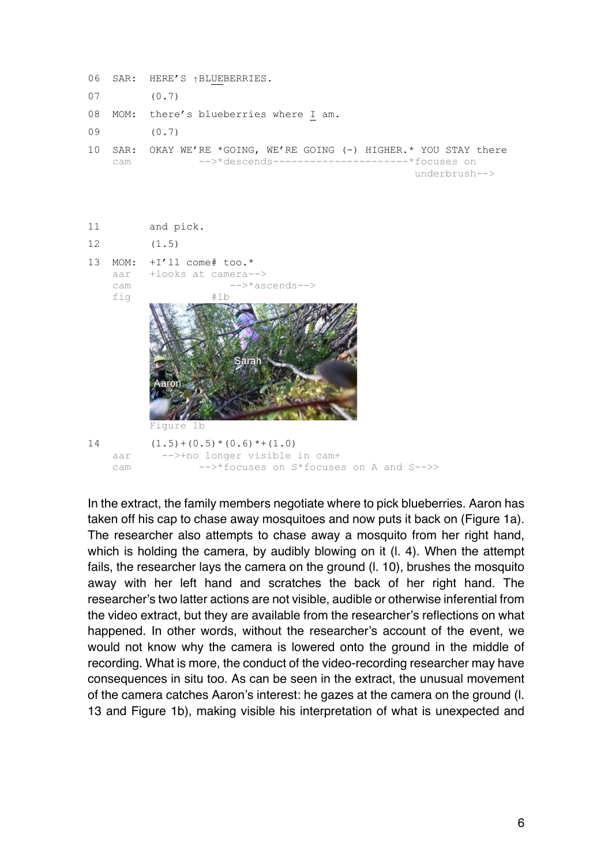|    |            | 06 SAR: HERE'S 1BLUEBERRIES.                                                                                                            |
|----|------------|-----------------------------------------------------------------------------------------------------------------------------------------|
|    | $07$ (0.7) |                                                                                                                                         |
|    |            | 08 MOM: there's blueberries where I am.                                                                                                 |
| 09 |            | (0.7)                                                                                                                                   |
|    | cam        | 10 SAR: OKAY WE'RE *GOING, WE'RE GOING (-) HIGHER.* YOU STAY there<br>-->*descends-----------------------*focuses_on<br>$underbrush-->$ |



In the extract, the family members negotiate where to pick blueberries. Aaron has taken off his cap to chase away mosquitoes and now puts it back on (Figure 1a). The researcher also attempts to chase away a mosquito from her right hand, which is holding the camera, by audibly blowing on it (l. 4). When the attempt fails, the researcher lays the camera on the ground (l. 10), brushes the mosquito away with her left hand and scratches the back of her right hand. The researcher's two latter actions are not visible, audible or otherwise inferential from the video extract, but they are available from the researcher's reflections on what happened. In other words, without the researcher's account of the event, we would not know why the camera is lowered onto the ground in the middle of recording. What is more, the conduct of the video-recording researcher may have consequences in situ too. As can be seen in the extract, the unusual movement of the camera catches Aaron's interest: he gazes at the camera on the ground (l. 13 and Figure 1b), making visible his interpretation of what is unexpected and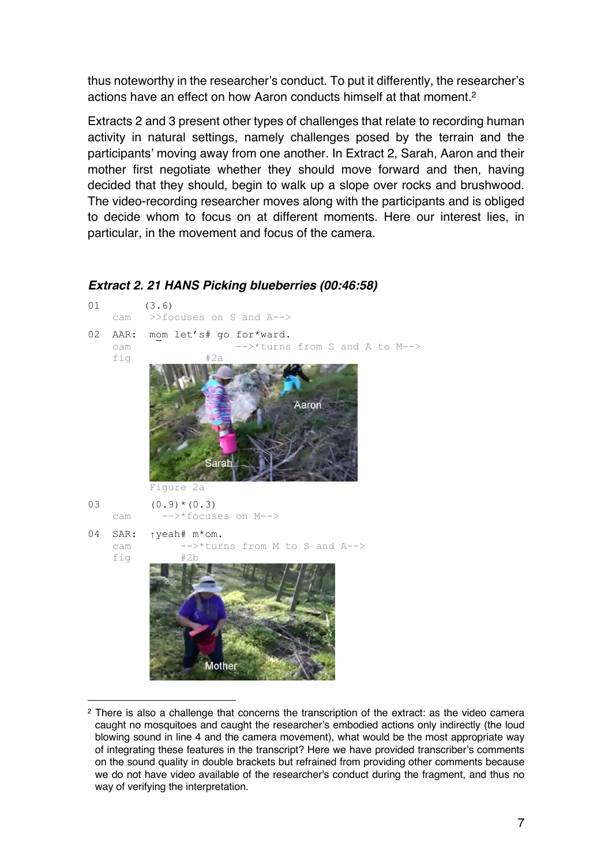thus noteworthy in the researcher's conduct. To put it differently, the researcher's actions have an effect on how Aaron conducts himself at that moment.2

Extracts 2 and 3 present other types of challenges that relate to recording human activity in natural settings, namely challenges posed by the terrain and the participants' moving away from one another. In Extract 2, Sarah, Aaron and their mother first negotiate whether they should move forward and then, having decided that they should, begin to walk up a slope over rocks and brushwood. The video-recording researcher moves along with the participants and is obliged to decide whom to focus on at different moments. Here our interest lies, in particular, in the movement and focus of the camera.

# 01 (3.6) cam >>focuses on S and A--> 02 AAR: mom let's# go for\*ward. cam -->\*turns from S and A to M--> fig #2a Aaron Sarah Figure 2a  $(0.9) * (0.3)$  cam -->\*focuses on M--> 04 SAR: ↑yeah# m\*om. cam  $--$  >\*turns from M to S and A--><br>fig  $\#2h$ fig **Mother**

*Extract 2. 21 HANS Picking blueberries (00:46:58)*

<sup>2</sup> There is also a challenge that concerns the transcription of the extract: as the video camera caught no mosquitoes and caught the researcher's embodied actions only indirectly (the loud blowing sound in line 4 and the camera movement), what would be the most appropriate way of integrating these features in the transcript? Here we have provided transcriber's comments on the sound quality in double brackets but refrained from providing other comments because we do not have video available of the researcher's conduct during the fragment, and thus no way of verifying the interpretation.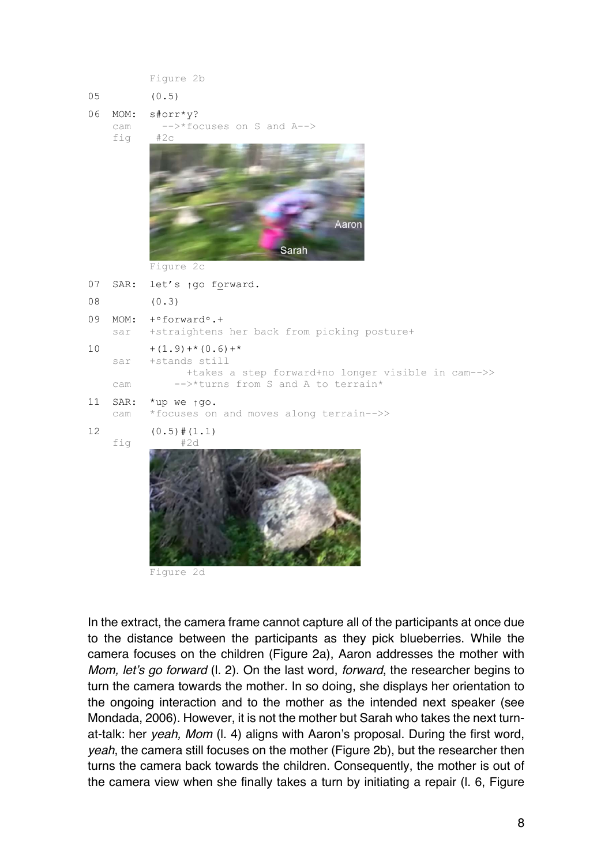Figure 2b

- 05 (0.5)
- 06 MOM: s#orr\*y?
	- cam -->\*focuses on S and A--> fig #2c

Sarah

Figure 2c

07 SAR: let's ↑go forward. 08 (0.3)

09 MOM:  $+$ °forward°.+

sar +straightens her back from picking posture+

10  $+(1.9) +*(0.6) +*$ 

sar +stands still

 +takes a step forward+no longer visible in cam-->> cam -->\*turns from S and A to terrain\*

Aaron

11 SAR: \*up we ↑go.

cam \*focuses on and moves along terrain-->>

 $12 \qquad (0.5) \# (1.1)$ 





Figure 2d

In the extract, the camera frame cannot capture all of the participants at once due to the distance between the participants as they pick blueberries. While the camera focuses on the children (Figure 2a), Aaron addresses the mother with *Mom, let's go forward* (l. 2). On the last word, *forward*, the researcher begins to turn the camera towards the mother. In so doing, she displays her orientation to the ongoing interaction and to the mother as the intended next speaker (see Mondada, 2006). However, it is not the mother but Sarah who takes the next turnat-talk: her *yeah, Mom* (l. 4) aligns with Aaron's proposal. During the first word, *yeah*, the camera still focuses on the mother (Figure 2b), but the researcher then turns the camera back towards the children. Consequently, the mother is out of the camera view when she finally takes a turn by initiating a repair (l. 6, Figure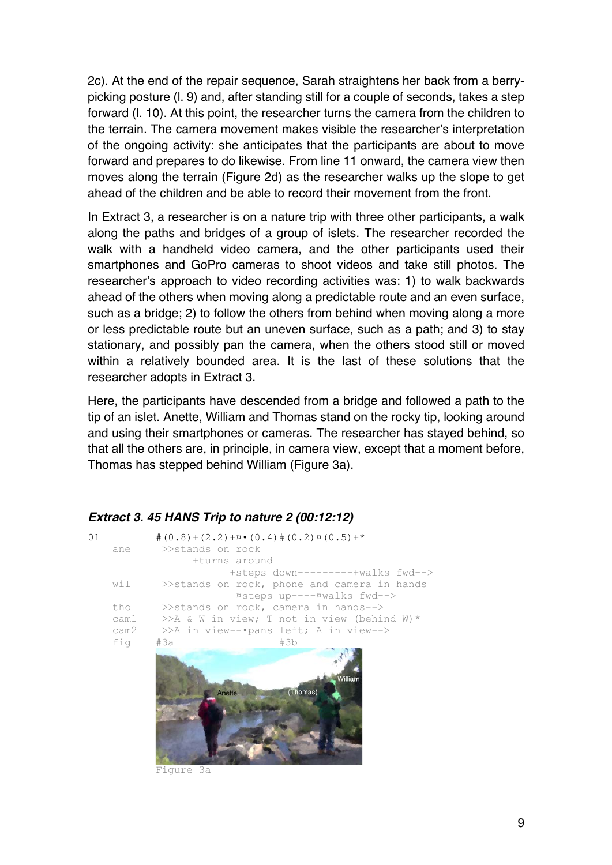2c). At the end of the repair sequence, Sarah straightens her back from a berrypicking posture (l. 9) and, after standing still for a couple of seconds, takes a step forward (l. 10). At this point, the researcher turns the camera from the children to the terrain. The camera movement makes visible the researcher's interpretation of the ongoing activity: she anticipates that the participants are about to move forward and prepares to do likewise. From line 11 onward, the camera view then moves along the terrain (Figure 2d) as the researcher walks up the slope to get ahead of the children and be able to record their movement from the front.

In Extract 3, a researcher is on a nature trip with three other participants, a walk along the paths and bridges of a group of islets. The researcher recorded the walk with a handheld video camera, and the other participants used their smartphones and GoPro cameras to shoot videos and take still photos. The researcher's approach to video recording activities was: 1) to walk backwards ahead of the others when moving along a predictable route and an even surface, such as a bridge; 2) to follow the others from behind when moving along a more or less predictable route but an uneven surface, such as a path; and 3) to stay stationary, and possibly pan the camera, when the others stood still or moved within a relatively bounded area. It is the last of these solutions that the researcher adopts in Extract 3.

Here, the participants have descended from a bridge and followed a path to the tip of an islet. Anette, William and Thomas stand on the rocky tip, looking around and using their smartphones or cameras. The researcher has stayed behind, so that all the others are, in principle, in camera view, except that a moment before, Thomas has stepped behind William (Figure 3a).

| 01   | $\# (0.8) + (2.2) + \pi \cdot (0.4) \# (0.2) \times (0.5) +$ |
|------|--------------------------------------------------------------|
| ane  | >>stands on rock                                             |
|      | +turns around                                                |
|      | +steps down---------+walks fwd-->                            |
| wil  | >>stands on rock, phone and camera in hands                  |
|      | ¤steps up----¤walks fwd-->                                   |
| tho  | $\ge$ stands on rock, camera in hands-->                     |
| cam1 | >>A & W in view; T not in view (behind W) *                  |
| cam2 | >>A in view--•pans left; A in view-->                        |
| fig  | #3b<br>#За                                                   |
|      | <b>William</b><br>(Thomas)<br>Anette                         |

### *Extract 3. 45 HANS Trip to nature 2 (00:12:12)*

Figure 3a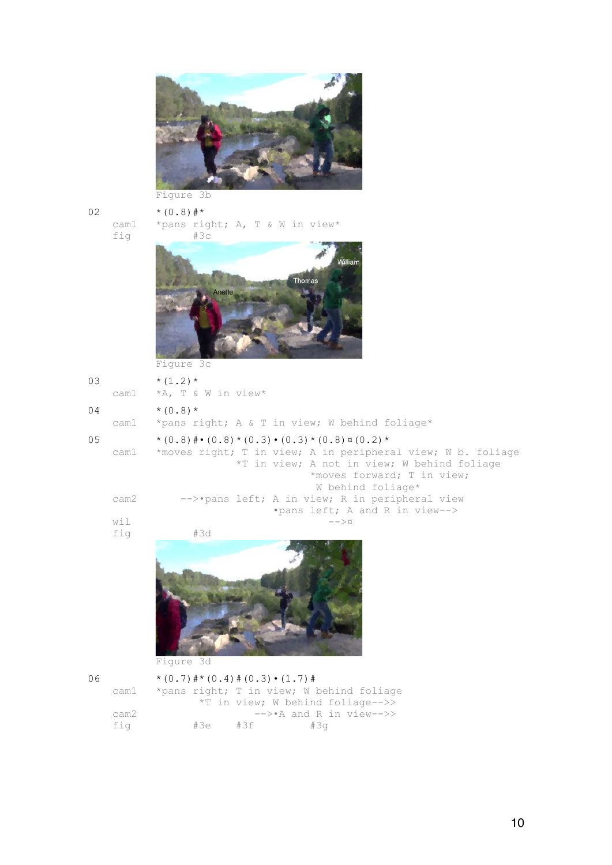

### Figure 3b

fig

02  $*(0.8)$ #\*<br>cam1 \*pans riv \*pans right; A, T & W in view\*<br>#3c



Figure 3c

| 03 |     | $*(1.2)*$           |  |
|----|-----|---------------------|--|
|    | . 1 | $+\pi$ m $\epsilon$ |  |

cam1 \*A, T & W in view\*

04  $*(0.8)*$ 

cam1 \*pans right; A & T in view; W behind foliage\*

#### 05  $*(0.8) * (0.8) * (0.3) * (0.3) * (0.8) * (0.2) *$  cam1 \*moves right; T in view; A in peripheral view; W b. foliage \*T in view; A not in view; W behind foliage \*moves forward; T in view; W behind foliage\*<br>cam2 -->•pans left; A in view; R in periphera -->•pans left; A in view; R in peripheral view •pans left; A and R in view--> wil  $--\infty$ fig #3d



Figure 3d

| 06 |      | $*(0.7)$ $#*(0.4)$ $#(0.3) \cdot (1.7)$ $#$ |     |                                          |
|----|------|---------------------------------------------|-----|------------------------------------------|
|    | caml |                                             |     | *pans right; T in view; W behind foliage |
|    |      |                                             |     | *T in view; W behind foliage-->>         |
|    | cam2 |                                             |     | $\leftarrow$ > A and R in view-->>       |
|    | fia  | #3e                                         | #3f | #3a                                      |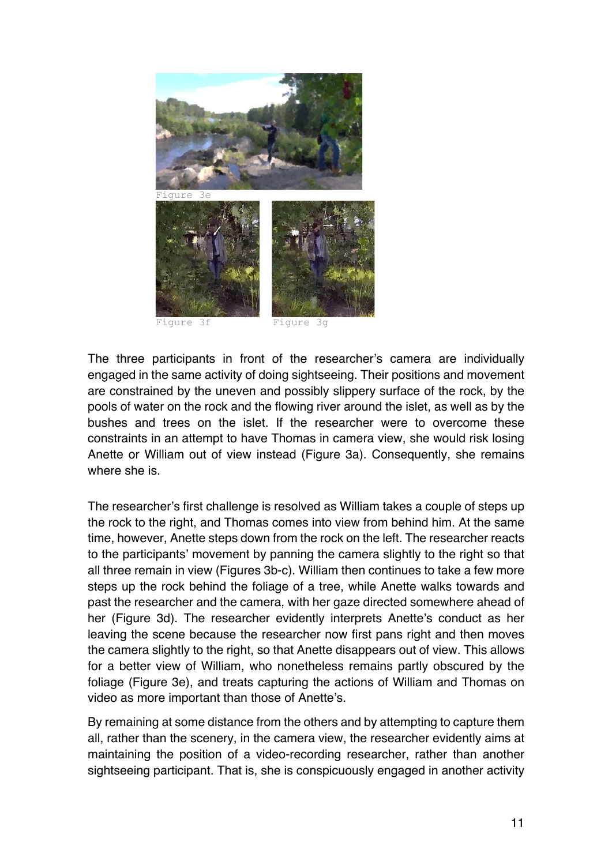

The three participants in front of the researcher's camera are individually engaged in the same activity of doing sightseeing. Their positions and movement are constrained by the uneven and possibly slippery surface of the rock, by the pools of water on the rock and the flowing river around the islet, as well as by the bushes and trees on the islet. If the researcher were to overcome these constraints in an attempt to have Thomas in camera view, she would risk losing Anette or William out of view instead (Figure 3a). Consequently, she remains where she is.

The researcher's first challenge is resolved as William takes a couple of steps up the rock to the right, and Thomas comes into view from behind him. At the same time, however, Anette steps down from the rock on the left. The researcher reacts to the participants' movement by panning the camera slightly to the right so that all three remain in view (Figures 3b-c). William then continues to take a few more steps up the rock behind the foliage of a tree, while Anette walks towards and past the researcher and the camera, with her gaze directed somewhere ahead of her (Figure 3d). The researcher evidently interprets Anette's conduct as her leaving the scene because the researcher now first pans right and then moves the camera slightly to the right, so that Anette disappears out of view. This allows for a better view of William, who nonetheless remains partly obscured by the foliage (Figure 3e), and treats capturing the actions of William and Thomas on video as more important than those of Anette's.

By remaining at some distance from the others and by attempting to capture them all, rather than the scenery, in the camera view, the researcher evidently aims at maintaining the position of a video-recording researcher, rather than another sightseeing participant. That is, she is conspicuously engaged in another activity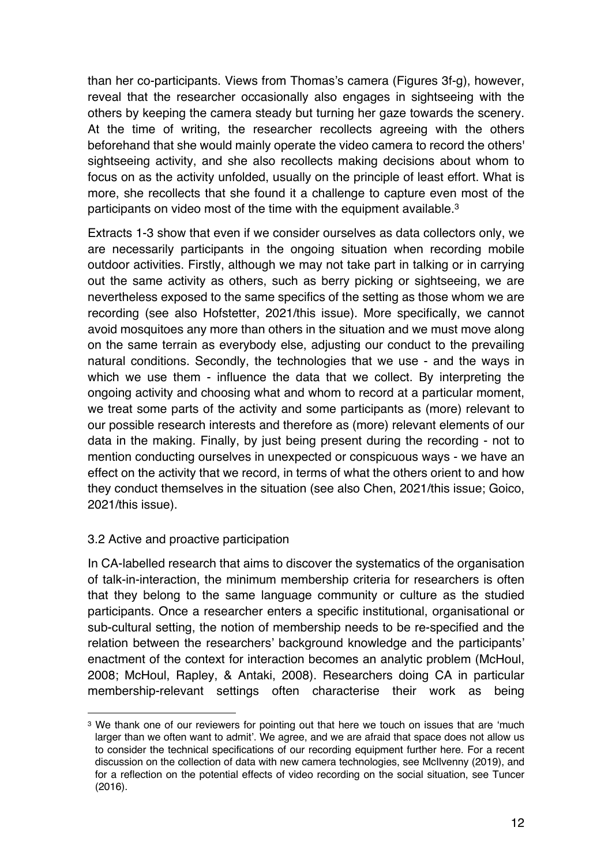than her co-participants. Views from Thomas's camera (Figures 3f-g), however, reveal that the researcher occasionally also engages in sightseeing with the others by keeping the camera steady but turning her gaze towards the scenery. At the time of writing, the researcher recollects agreeing with the others beforehand that she would mainly operate the video camera to record the others' sightseeing activity, and she also recollects making decisions about whom to focus on as the activity unfolded, usually on the principle of least effort. What is more, she recollects that she found it a challenge to capture even most of the participants on video most of the time with the equipment available.<sup>3</sup>

Extracts 1-3 show that even if we consider ourselves as data collectors only, we are necessarily participants in the ongoing situation when recording mobile outdoor activities. Firstly, although we may not take part in talking or in carrying out the same activity as others, such as berry picking or sightseeing, we are nevertheless exposed to the same specifics of the setting as those whom we are recording (see also Hofstetter, 2021/this issue). More specifically, we cannot avoid mosquitoes any more than others in the situation and we must move along on the same terrain as everybody else, adjusting our conduct to the prevailing natural conditions. Secondly, the technologies that we use - and the ways in which we use them - influence the data that we collect. By interpreting the ongoing activity and choosing what and whom to record at a particular moment, we treat some parts of the activity and some participants as (more) relevant to our possible research interests and therefore as (more) relevant elements of our data in the making. Finally, by just being present during the recording - not to mention conducting ourselves in unexpected or conspicuous ways - we have an effect on the activity that we record, in terms of what the others orient to and how they conduct themselves in the situation (see also Chen, 2021/this issue; Goico, 2021/this issue).

### 3.2 Active and proactive participation

In CA-labelled research that aims to discover the systematics of the organisation of talk-in-interaction, the minimum membership criteria for researchers is often that they belong to the same language community or culture as the studied participants. Once a researcher enters a specific institutional, organisational or sub-cultural setting, the notion of membership needs to be re-specified and the relation between the researchers' background knowledge and the participants' enactment of the context for interaction becomes an analytic problem (McHoul, 2008; McHoul, Rapley, & Antaki, 2008). Researchers doing CA in particular membership-relevant settings often characterise their work as being

<sup>&</sup>lt;sup>3</sup> We thank one of our reviewers for pointing out that here we touch on issues that are 'much larger than we often want to admit'. We agree, and we are afraid that space does not allow us to consider the technical specifications of our recording equipment further here. For a recent discussion on the collection of data with new camera technologies, see McIlvenny (2019), and for a reflection on the potential effects of video recording on the social situation, see Tuncer (2016).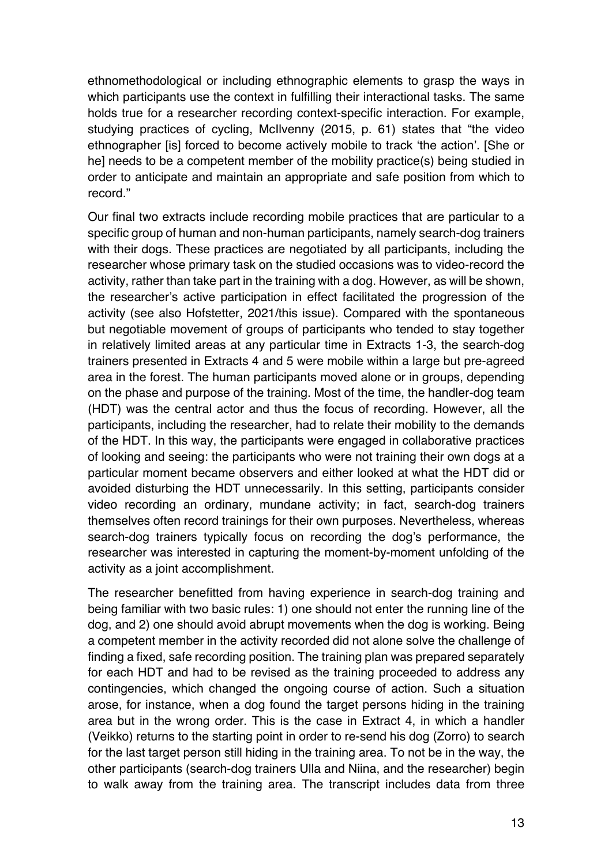ethnomethodological or including ethnographic elements to grasp the ways in which participants use the context in fulfilling their interactional tasks. The same holds true for a researcher recording context-specific interaction. For example, studying practices of cycling, McIlvenny (2015, p. 61) states that "the video ethnographer [is] forced to become actively mobile to track 'the action'. [She or he] needs to be a competent member of the mobility practice(s) being studied in order to anticipate and maintain an appropriate and safe position from which to record."

Our final two extracts include recording mobile practices that are particular to a specific group of human and non-human participants, namely search-dog trainers with their dogs. These practices are negotiated by all participants, including the researcher whose primary task on the studied occasions was to video-record the activity, rather than take part in the training with a dog. However, as will be shown, the researcher's active participation in effect facilitated the progression of the activity (see also Hofstetter, 2021/this issue). Compared with the spontaneous but negotiable movement of groups of participants who tended to stay together in relatively limited areas at any particular time in Extracts 1-3, the search-dog trainers presented in Extracts 4 and 5 were mobile within a large but pre-agreed area in the forest. The human participants moved alone or in groups, depending on the phase and purpose of the training. Most of the time, the handler-dog team (HDT) was the central actor and thus the focus of recording. However, all the participants, including the researcher, had to relate their mobility to the demands of the HDT. In this way, the participants were engaged in collaborative practices of looking and seeing: the participants who were not training their own dogs at a particular moment became observers and either looked at what the HDT did or avoided disturbing the HDT unnecessarily. In this setting, participants consider video recording an ordinary, mundane activity; in fact, search-dog trainers themselves often record trainings for their own purposes. Nevertheless, whereas search-dog trainers typically focus on recording the dog's performance, the researcher was interested in capturing the moment-by-moment unfolding of the activity as a joint accomplishment.

The researcher benefitted from having experience in search-dog training and being familiar with two basic rules: 1) one should not enter the running line of the dog, and 2) one should avoid abrupt movements when the dog is working. Being a competent member in the activity recorded did not alone solve the challenge of finding a fixed, safe recording position. The training plan was prepared separately for each HDT and had to be revised as the training proceeded to address any contingencies, which changed the ongoing course of action. Such a situation arose, for instance, when a dog found the target persons hiding in the training area but in the wrong order. This is the case in Extract 4, in which a handler (Veikko) returns to the starting point in order to re-send his dog (Zorro) to search for the last target person still hiding in the training area. To not be in the way, the other participants (search-dog trainers Ulla and Niina, and the researcher) begin to walk away from the training area. The transcript includes data from three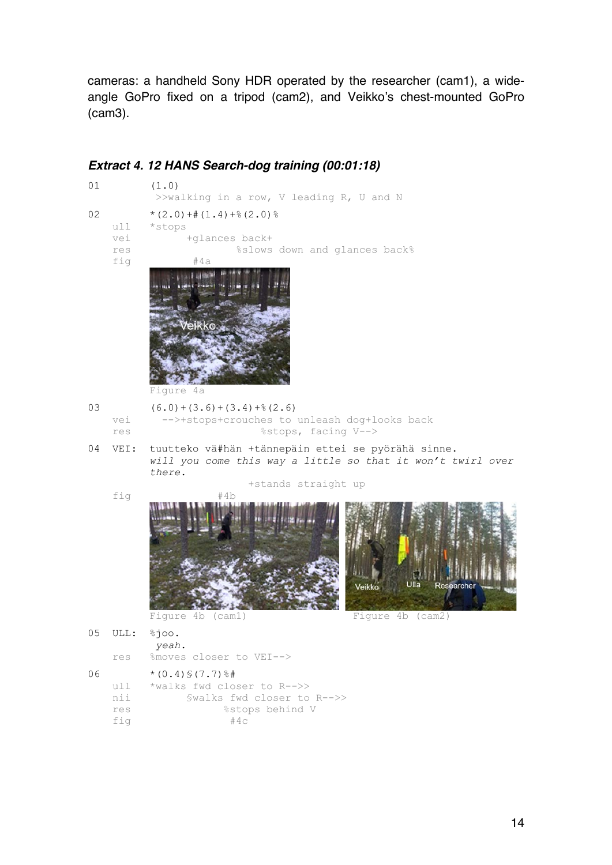cameras: a handheld Sony HDR operated by the researcher (cam1), a wideangle GoPro fixed on a tripod (cam2), and Veikko's chest-mounted GoPro (cam3).

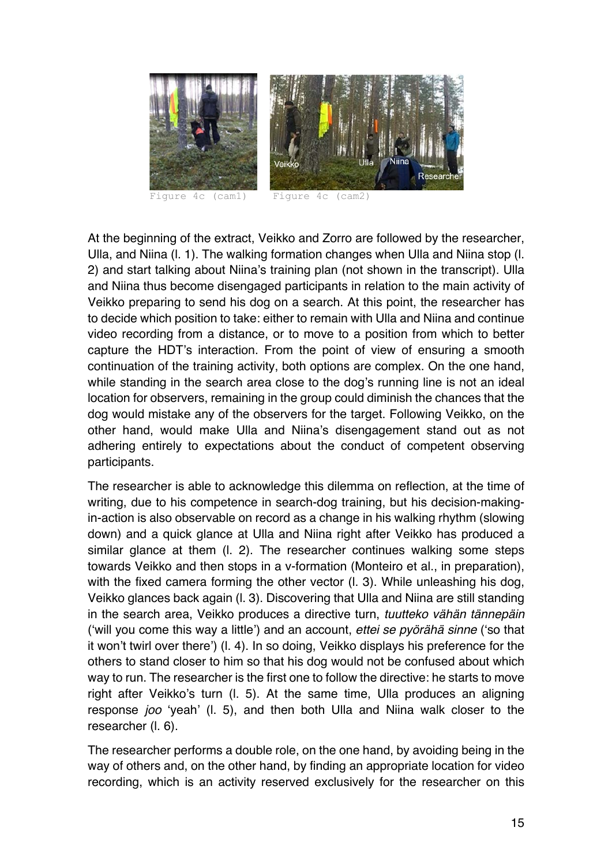

Figure 4c (cam1) Figure 4c (cam2)

At the beginning of the extract, Veikko and Zorro are followed by the researcher, Ulla, and Niina (l. 1). The walking formation changes when Ulla and Niina stop (l. 2) and start talking about Niina's training plan (not shown in the transcript). Ulla and Niina thus become disengaged participants in relation to the main activity of Veikko preparing to send his dog on a search. At this point, the researcher has to decide which position to take: either to remain with Ulla and Niina and continue video recording from a distance, or to move to a position from which to better capture the HDT's interaction. From the point of view of ensuring a smooth continuation of the training activity, both options are complex. On the one hand, while standing in the search area close to the dog's running line is not an ideal location for observers, remaining in the group could diminish the chances that the dog would mistake any of the observers for the target. Following Veikko, on the other hand, would make Ulla and Niina's disengagement stand out as not adhering entirely to expectations about the conduct of competent observing participants.

The researcher is able to acknowledge this dilemma on reflection, at the time of writing, due to his competence in search-dog training, but his decision-makingin-action is also observable on record as a change in his walking rhythm (slowing down) and a quick glance at Ulla and Niina right after Veikko has produced a similar glance at them (l. 2). The researcher continues walking some steps towards Veikko and then stops in a v-formation (Monteiro et al., in preparation), with the fixed camera forming the other vector (I. 3). While unleashing his dog, Veikko glances back again (l. 3). Discovering that Ulla and Niina are still standing in the search area, Veikko produces a directive turn, *tuutteko vähän tännepäin* ('will you come this way a little') and an account, *ettei se pyörähä sinne* ('so that it won't twirl over there') (l. 4). In so doing, Veikko displays his preference for the others to stand closer to him so that his dog would not be confused about which way to run. The researcher is the first one to follow the directive: he starts to move right after Veikko's turn (l. 5). At the same time, Ulla produces an aligning response *joo* 'yeah' (l. 5), and then both Ulla and Niina walk closer to the researcher (l. 6).

The researcher performs a double role, on the one hand, by avoiding being in the way of others and, on the other hand, by finding an appropriate location for video recording, which is an activity reserved exclusively for the researcher on this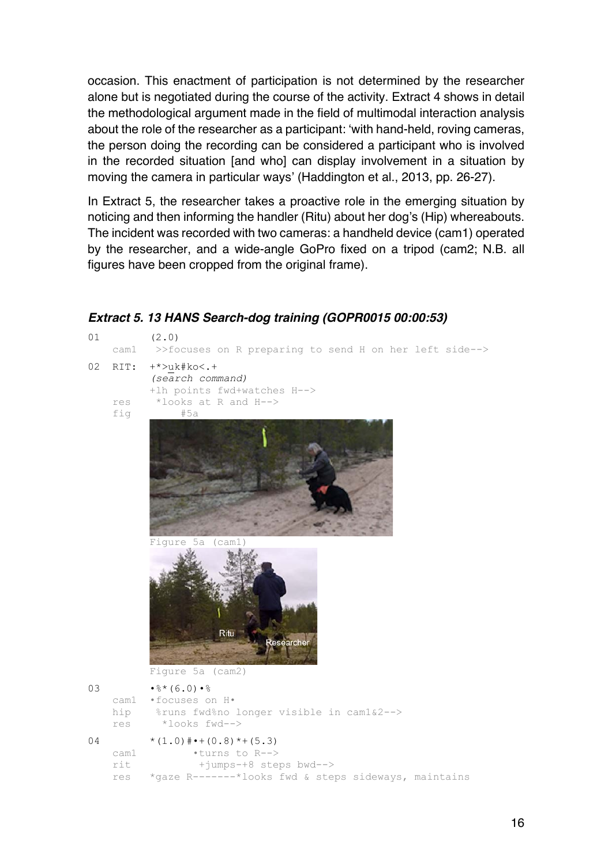occasion. This enactment of participation is not determined by the researcher alone but is negotiated during the course of the activity. Extract 4 shows in detail the methodological argument made in the field of multimodal interaction analysis about the role of the researcher as a participant: 'with hand-held, roving cameras, the person doing the recording can be considered a participant who is involved in the recorded situation [and who] can display involvement in a situation by moving the camera in particular ways' (Haddington et al., 2013, pp. 26-27).

In Extract 5, the researcher takes a proactive role in the emerging situation by noticing and then informing the handler (Ritu) about her dog's (Hip) whereabouts. The incident was recorded with two cameras: a handheld device (cam1) operated by the researcher, and a wide-angle GoPro fixed on a tripod (cam2; N.B. all figures have been cropped from the original frame).



*Extract 5. 13 HANS Search-dog training (GOPR0015 00:00:53)*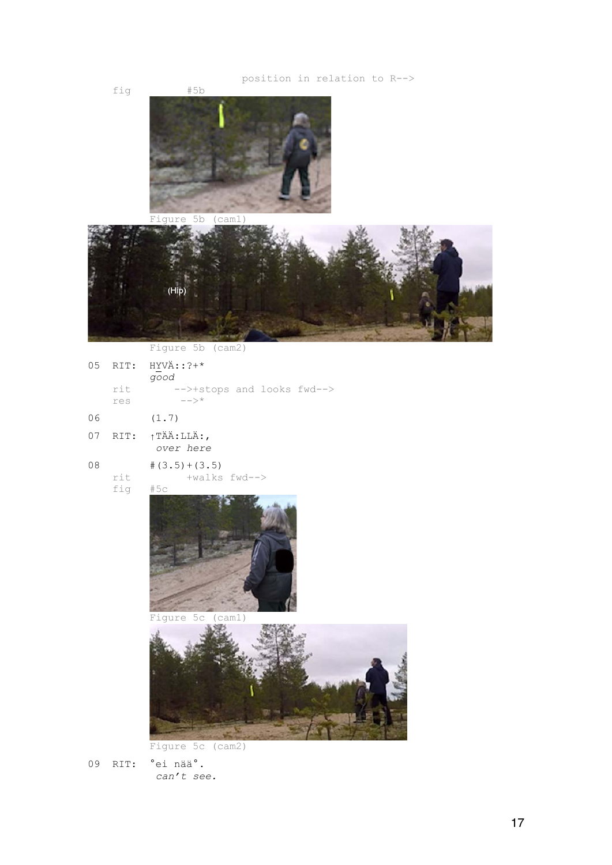

Figure 5c (cam2)

09 RIT: °ei nää°. *can't see.*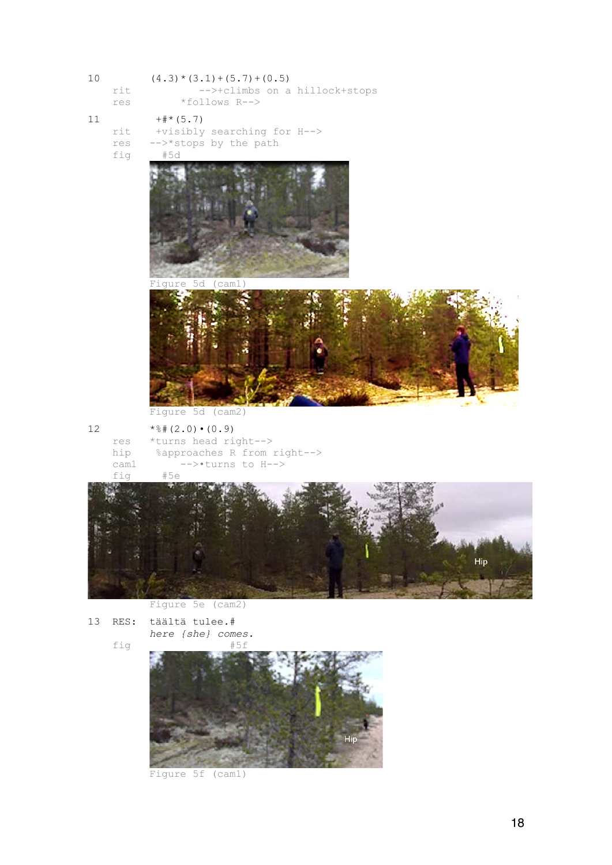| $10$ | rit<br>res                           | $(4.3) * (3.1) + (5.7) + (0.5)$<br>-->+climbs on a hillock+stops<br>*follows R-->                                 |
|------|--------------------------------------|-------------------------------------------------------------------------------------------------------------------|
| 11   | rit<br>res<br>fig                    | $++$ * (5.7)<br>+visibly searching for H--><br>-->*stops by the path<br>#5d<br>Figure 5d (cam1)                   |
|      |                                      | Figure 5d (cam2)                                                                                                  |
| 12   | $\texttt{res}$<br>hip<br>cam1<br>fig | $*$ $*$ (2.0) $\cdot$ (0.9)<br>*turns head right -- ><br>%approaches R from right --><br>-->*turns to H--><br>#5e |
|      |                                      | Hip<br>Figure 5e (cam2)                                                                                           |

13 RES: täältä tulee.# *here {she} comes.* fig



Figure 5f (cam1)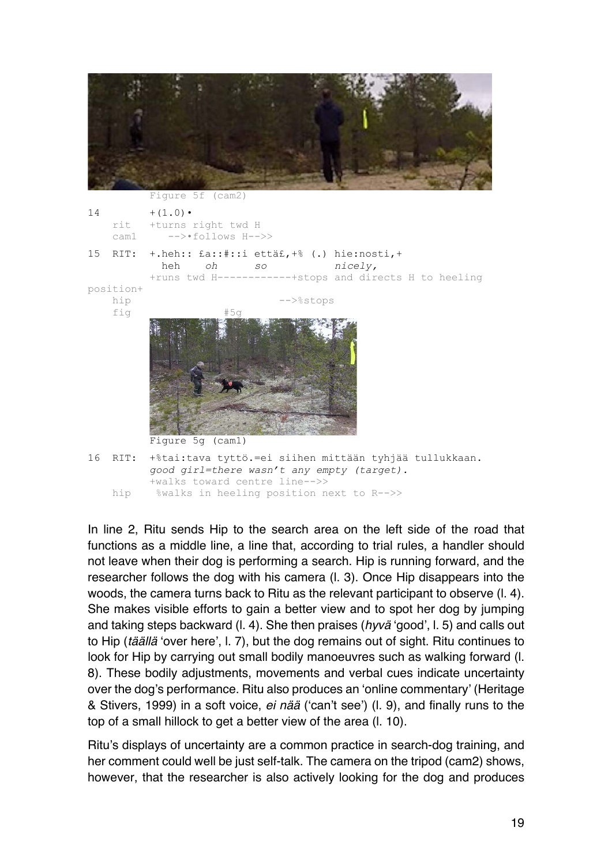

16 RIT: +%tai:tava tyttö.=ei siihen mittään tyhjää tullukkaan. *good girl=there wasn't any empty (target).*

Figure 5g (cam1)

+walks toward centre line-->>

hip %walks in heeling position next to R-->>

In line 2, Ritu sends Hip to the search area on the left side of the road that functions as a middle line, a line that, according to trial rules, a handler should not leave when their dog is performing a search. Hip is running forward, and the researcher follows the dog with his camera (l. 3). Once Hip disappears into the woods, the camera turns back to Ritu as the relevant participant to observe (l. 4). She makes visible efforts to gain a better view and to spot her dog by jumping and taking steps backward (l. 4). She then praises (*hyvä* 'good', l. 5) and calls out to Hip (*täällä* 'over here', l. 7), but the dog remains out of sight. Ritu continues to look for Hip by carrying out small bodily manoeuvres such as walking forward (l. 8). These bodily adjustments, movements and verbal cues indicate uncertainty over the dog's performance. Ritu also produces an 'online commentary' (Heritage & Stivers, 1999) in a soft voice, *ei nää* ('can't see') (l. 9), and finally runs to the top of a small hillock to get a better view of the area (l. 10).

Ritu's displays of uncertainty are a common practice in search-dog training, and her comment could well be just self-talk. The camera on the tripod (cam2) shows, however, that the researcher is also actively looking for the dog and produces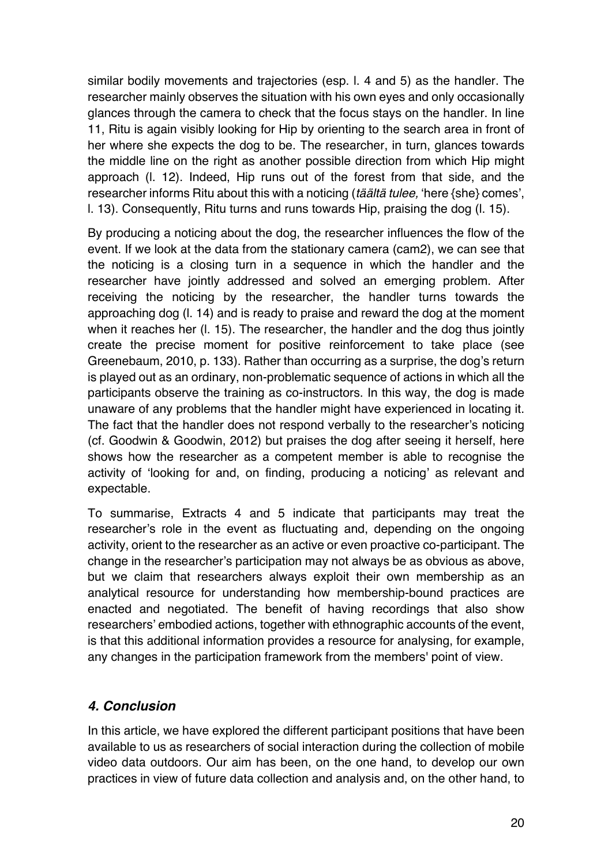similar bodily movements and trajectories (esp. l. 4 and 5) as the handler. The researcher mainly observes the situation with his own eyes and only occasionally glances through the camera to check that the focus stays on the handler. In line 11, Ritu is again visibly looking for Hip by orienting to the search area in front of her where she expects the dog to be. The researcher, in turn, glances towards the middle line on the right as another possible direction from which Hip might approach (l. 12). Indeed, Hip runs out of the forest from that side, and the researcher informs Ritu about this with a noticing (*täältä tulee,* 'here {she} comes', l. 13). Consequently, Ritu turns and runs towards Hip, praising the dog (l. 15).

By producing a noticing about the dog, the researcher influences the flow of the event. If we look at the data from the stationary camera (cam2), we can see that the noticing is a closing turn in a sequence in which the handler and the researcher have jointly addressed and solved an emerging problem. After receiving the noticing by the researcher, the handler turns towards the approaching dog (l. 14) and is ready to praise and reward the dog at the moment when it reaches her (l. 15). The researcher, the handler and the dog thus jointly create the precise moment for positive reinforcement to take place (see Greenebaum, 2010, p. 133). Rather than occurring as a surprise, the dog's return is played out as an ordinary, non-problematic sequence of actions in which all the participants observe the training as co-instructors. In this way, the dog is made unaware of any problems that the handler might have experienced in locating it. The fact that the handler does not respond verbally to the researcher's noticing (cf. Goodwin & Goodwin, 2012) but praises the dog after seeing it herself, here shows how the researcher as a competent member is able to recognise the activity of 'looking for and, on finding, producing a noticing' as relevant and expectable.

To summarise, Extracts 4 and 5 indicate that participants may treat the researcher's role in the event as fluctuating and, depending on the ongoing activity, orient to the researcher as an active or even proactive co-participant. The change in the researcher's participation may not always be as obvious as above, but we claim that researchers always exploit their own membership as an analytical resource for understanding how membership-bound practices are enacted and negotiated. The benefit of having recordings that also show researchers' embodied actions, together with ethnographic accounts of the event, is that this additional information provides a resource for analysing, for example, any changes in the participation framework from the members' point of view.

### *4. Conclusion*

In this article, we have explored the different participant positions that have been available to us as researchers of social interaction during the collection of mobile video data outdoors. Our aim has been, on the one hand, to develop our own practices in view of future data collection and analysis and, on the other hand, to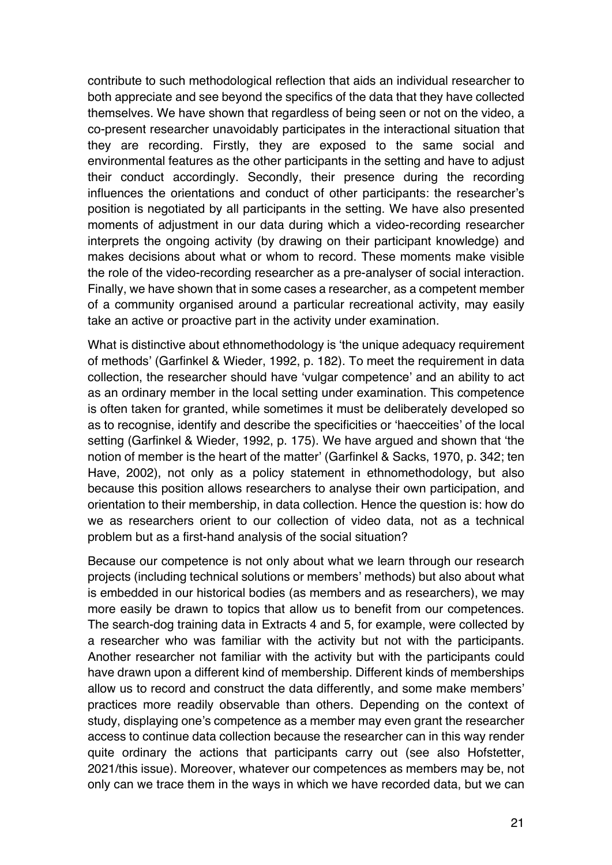contribute to such methodological reflection that aids an individual researcher to both appreciate and see beyond the specifics of the data that they have collected themselves. We have shown that regardless of being seen or not on the video, a co-present researcher unavoidably participates in the interactional situation that they are recording. Firstly, they are exposed to the same social and environmental features as the other participants in the setting and have to adjust their conduct accordingly. Secondly, their presence during the recording influences the orientations and conduct of other participants: the researcher's position is negotiated by all participants in the setting. We have also presented moments of adjustment in our data during which a video-recording researcher interprets the ongoing activity (by drawing on their participant knowledge) and makes decisions about what or whom to record. These moments make visible the role of the video-recording researcher as a pre-analyser of social interaction. Finally, we have shown that in some cases a researcher, as a competent member of a community organised around a particular recreational activity, may easily take an active or proactive part in the activity under examination.

What is distinctive about ethnomethodology is 'the unique adequacy requirement of methods' (Garfinkel & Wieder, 1992, p. 182). To meet the requirement in data collection, the researcher should have 'vulgar competence' and an ability to act as an ordinary member in the local setting under examination. This competence is often taken for granted, while sometimes it must be deliberately developed so as to recognise, identify and describe the specificities or 'haecceities' of the local setting (Garfinkel & Wieder, 1992, p. 175). We have argued and shown that 'the notion of member is the heart of the matter' (Garfinkel & Sacks, 1970, p. 342; ten Have, 2002), not only as a policy statement in ethnomethodology, but also because this position allows researchers to analyse their own participation, and orientation to their membership, in data collection. Hence the question is: how do we as researchers orient to our collection of video data, not as a technical problem but as a first-hand analysis of the social situation?

Because our competence is not only about what we learn through our research projects (including technical solutions or members' methods) but also about what is embedded in our historical bodies (as members and as researchers), we may more easily be drawn to topics that allow us to benefit from our competences. The search-dog training data in Extracts 4 and 5, for example, were collected by a researcher who was familiar with the activity but not with the participants. Another researcher not familiar with the activity but with the participants could have drawn upon a different kind of membership. Different kinds of memberships allow us to record and construct the data differently, and some make members' practices more readily observable than others. Depending on the context of study, displaying one's competence as a member may even grant the researcher access to continue data collection because the researcher can in this way render quite ordinary the actions that participants carry out (see also Hofstetter, 2021/this issue). Moreover, whatever our competences as members may be, not only can we trace them in the ways in which we have recorded data, but we can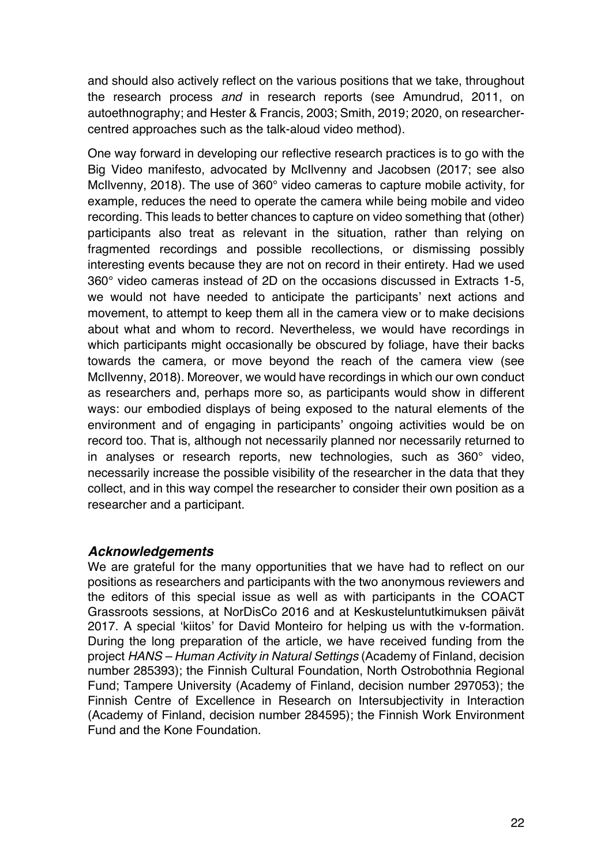and should also actively reflect on the various positions that we take, throughout the research process *and* in research reports (see Amundrud, 2011, on autoethnography; and Hester & Francis, 2003; Smith, 2019; 2020, on researchercentred approaches such as the talk-aloud video method).

One way forward in developing our reflective research practices is to go with the Big Video manifesto, advocated by McIlvenny and Jacobsen (2017; see also McIlvenny, 2018). The use of 360° video cameras to capture mobile activity, for example, reduces the need to operate the camera while being mobile and video recording. This leads to better chances to capture on video something that (other) participants also treat as relevant in the situation, rather than relying on fragmented recordings and possible recollections, or dismissing possibly interesting events because they are not on record in their entirety. Had we used 360° video cameras instead of 2D on the occasions discussed in Extracts 1-5, we would not have needed to anticipate the participants' next actions and movement, to attempt to keep them all in the camera view or to make decisions about what and whom to record. Nevertheless, we would have recordings in which participants might occasionally be obscured by foliage, have their backs towards the camera, or move beyond the reach of the camera view (see McIlvenny, 2018). Moreover, we would have recordings in which our own conduct as researchers and, perhaps more so, as participants would show in different ways: our embodied displays of being exposed to the natural elements of the environment and of engaging in participants' ongoing activities would be on record too. That is, although not necessarily planned nor necessarily returned to in analyses or research reports, new technologies, such as 360° video, necessarily increase the possible visibility of the researcher in the data that they collect, and in this way compel the researcher to consider their own position as a researcher and a participant.

### *Acknowledgements*

We are grateful for the many opportunities that we have had to reflect on our positions as researchers and participants with the two anonymous reviewers and the editors of this special issue as well as with participants in the COACT Grassroots sessions, at NorDisCo 2016 and at Keskusteluntutkimuksen päivät 2017. A special 'kiitos' for David Monteiro for helping us with the v-formation. During the long preparation of the article, we have received funding from the project *HANS – Human Activity in Natural Settings* (Academy of Finland, decision number 285393); the Finnish Cultural Foundation, North Ostrobothnia Regional Fund; Tampere University (Academy of Finland, decision number 297053); the Finnish Centre of Excellence in Research on Intersubjectivity in Interaction (Academy of Finland, decision number 284595); the Finnish Work Environment Fund and the Kone Foundation.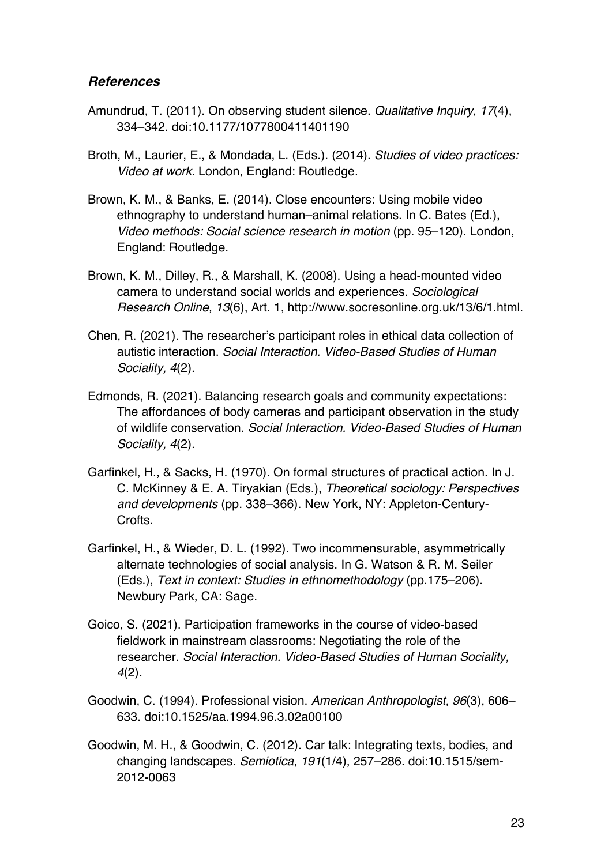### *References*

- Amundrud, T. (2011). On observing student silence. *Qualitative Inquiry*, *17*(4), 334–342. doi:10.1177/1077800411401190
- Broth, M., Laurier, E., & Mondada, L. (Eds.). (2014). *Studies of video practices: Video at work*. London, England: Routledge.
- Brown, K. M., & Banks, E. (2014). Close encounters: Using mobile video ethnography to understand human–animal relations. In C. Bates (Ed.), *Video methods: Social science research in motion* (pp. 95–120). London, England: Routledge.
- Brown, K. M., Dilley, R., & Marshall, K. (2008). Using a head-mounted video camera to understand social worlds and experiences. *Sociological Research Online, 13*(6), Art. 1, http://www.socresonline.org.uk/13/6/1.html.
- Chen, R. (2021). The researcher's participant roles in ethical data collection of autistic interaction. *Social Interaction. Video-Based Studies of Human Sociality, 4*(2)*.*
- Edmonds, R. (2021). Balancing research goals and community expectations: The affordances of body cameras and participant observation in the study of wildlife conservation. *Social Interaction. Video-Based Studies of Human Sociality, 4*(2)*.*
- Garfinkel, H., & Sacks, H. (1970). On formal structures of practical action. In J. C. McKinney & E. A. Tiryakian (Eds.), *Theoretical sociology: Perspectives and developments* (pp. 338–366). New York, NY: Appleton-Century-Crofts.
- Garfinkel, H., & Wieder, D. L. (1992). Two incommensurable, asymmetrically alternate technologies of social analysis. In G. Watson & R. M. Seiler (Eds.), *Text in context: Studies in ethnomethodology* (pp.175–206). Newbury Park, CA: Sage.
- Goico, S. (2021). Participation frameworks in the course of video-based fieldwork in mainstream classrooms: Negotiating the role of the researcher. *Social Interaction. Video-Based Studies of Human Sociality, 4*(2)*.*
- Goodwin, C. (1994). Professional vision. *American Anthropologist, 96*(3), 606– 633. doi:10.1525/aa.1994.96.3.02a00100
- Goodwin, M. H., & Goodwin, C. (2012). Car talk: Integrating texts, bodies, and changing landscapes. *Semiotica*, *191*(1/4), 257–286. doi:10.1515/sem-2012-0063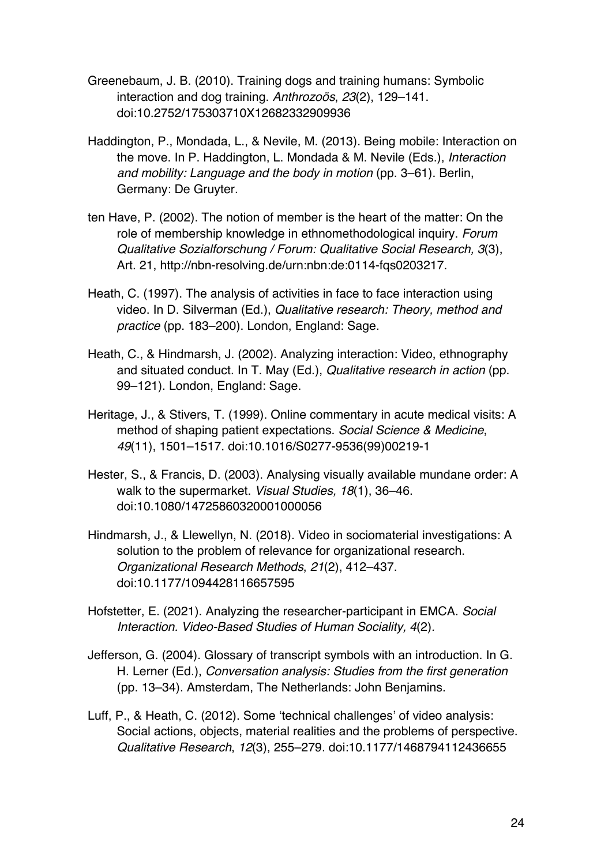- Greenebaum, J. B. (2010). Training dogs and training humans: Symbolic interaction and dog training. *Anthrozoös*, *23*(2), 129–141. doi:10.2752/175303710X12682332909936
- Haddington, P., Mondada, L., & Nevile, M. (2013). Being mobile: Interaction on the move. In P. Haddington, L. Mondada & M. Nevile (Eds.), *Interaction and mobility: Language and the body in motion* (pp. 3–61). Berlin, Germany: De Gruyter.
- ten Have, P. (2002). The notion of member is the heart of the matter: On the role of membership knowledge in ethnomethodological inquiry. *Forum Qualitative Sozialforschung / Forum: Qualitative Social Research, 3*(3), Art. 21, http://nbn-resolving.de/urn:nbn:de:0114-fqs0203217.
- Heath, C. (1997). The analysis of activities in face to face interaction using video. In D. Silverman (Ed.), *Qualitative research: Theory, method and practice* (pp. 183–200). London, England: Sage.
- Heath, C., & Hindmarsh, J. (2002). Analyzing interaction: Video, ethnography and situated conduct. In T. May (Ed.), *Qualitative research in action* (pp. 99–121). London, England: Sage.
- Heritage, J., & Stivers, T. (1999). Online commentary in acute medical visits: A method of shaping patient expectations. *Social Science & Medicine*, *49*(11), 1501–1517. doi:10.1016/S0277-9536(99)00219-1
- Hester, S., & Francis, D. (2003). Analysing visually available mundane order: A walk to the supermarket. *Visual Studies, 18*(1), 36–46. doi:10.1080/14725860320001000056
- Hindmarsh, J., & Llewellyn, N. (2018). Video in sociomaterial investigations: A solution to the problem of relevance for organizational research. *Organizational Research Methods*, *21*(2), 412–437. doi:10.1177/1094428116657595
- Hofstetter, E. (2021). Analyzing the researcher-participant in EMCA. *Social Interaction. Video-Based Studies of Human Sociality, 4*(2)*.*
- Jefferson, G. (2004). Glossary of transcript symbols with an introduction. In G. H. Lerner (Ed.), *Conversation analysis: Studies from the first generation*  (pp. 13–34). Amsterdam, The Netherlands: John Benjamins.
- Luff, P., & Heath, C. (2012). Some 'technical challenges' of video analysis: Social actions, objects, material realities and the problems of perspective. *Qualitative Research*, *12*(3), 255–279. doi:10.1177/1468794112436655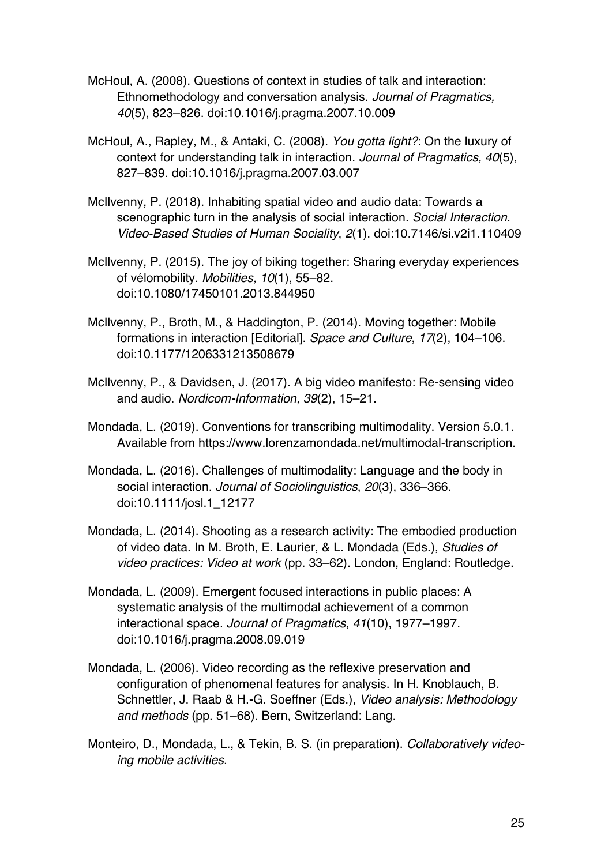- McHoul, A. (2008). Questions of context in studies of talk and interaction: Ethnomethodology and conversation analysis. *Journal of Pragmatics, 40*(5), 823–826. doi:10.1016/j.pragma.2007.10.009
- McHoul, A., Rapley, M., & Antaki, C. (2008). *You gotta light?*: On the luxury of context for understanding talk in interaction. *Journal of Pragmatics, 40*(5), 827–839. doi:10.1016/j.pragma.2007.03.007
- McIlvenny, P. (2018). Inhabiting spatial video and audio data: Towards a scenographic turn in the analysis of social interaction. *Social Interaction. Video-Based Studies of Human Sociality*, *2*(1). doi:10.7146/si.v2i1.110409
- McIlvenny, P. (2015). The joy of biking together: Sharing everyday experiences of vélomobility. *Mobilities, 10*(1), 55–82. doi:10.1080/17450101.2013.844950
- McIlvenny, P., Broth, M., & Haddington, P. (2014). Moving together: Mobile formations in interaction [Editorial]. *Space and Culture*, *17*(2), 104–106. doi:10.1177/1206331213508679
- McIlvenny, P., & Davidsen, J. (2017). A big video manifesto: Re-sensing video and audio. *Nordicom-Information, 39*(2), 15–21.
- Mondada, L. (2019). Conventions for transcribing multimodality. Version 5.0.1. Available from https://www.lorenzamondada.net/multimodal-transcription.
- Mondada, L. (2016). Challenges of multimodality: Language and the body in social interaction. *Journal of Sociolinguistics*, *20*(3), 336–366. doi:10.1111/josl.1\_12177
- Mondada, L. (2014). Shooting as a research activity: The embodied production of video data. In M. Broth, E. Laurier, & L. Mondada (Eds.), *Studies of video practices: Video at work* (pp. 33–62). London, England: Routledge.
- Mondada, L. (2009). Emergent focused interactions in public places: A systematic analysis of the multimodal achievement of a common interactional space. *Journal of Pragmatics*, *41*(10), 1977–1997. doi:10.1016/j.pragma.2008.09.019
- Mondada, L. (2006). Video recording as the reflexive preservation and configuration of phenomenal features for analysis. In H. Knoblauch, B. Schnettler, J. Raab & H.-G. Soeffner (Eds.), *Video analysis: Methodology and methods* (pp. 51–68). Bern, Switzerland: Lang.
- Monteiro, D., Mondada, L., & Tekin, B. S. (in preparation). *Collaboratively videoing mobile activities*.